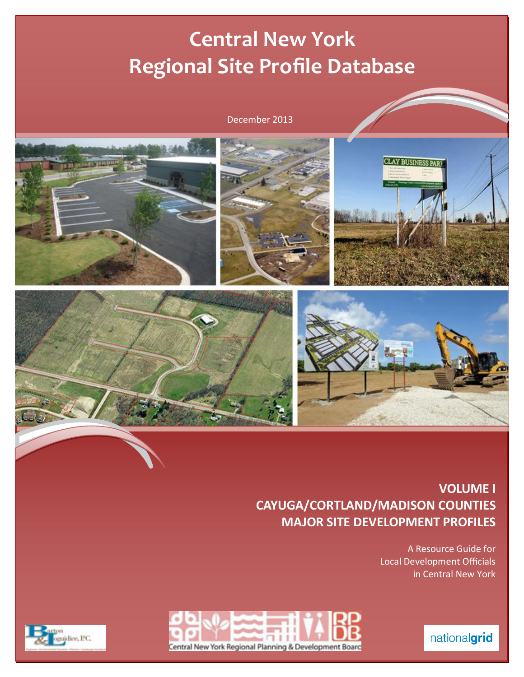# **Central New York Regional Site Profile Database**

### December 2013



**VOLUME I CAYUGA/CORTLAND/MADISON COUNTIES MAJOR SITE DEVELOPMENT PROFILES** 

> A Resource Guide for **Local Development Officials** in Central New York





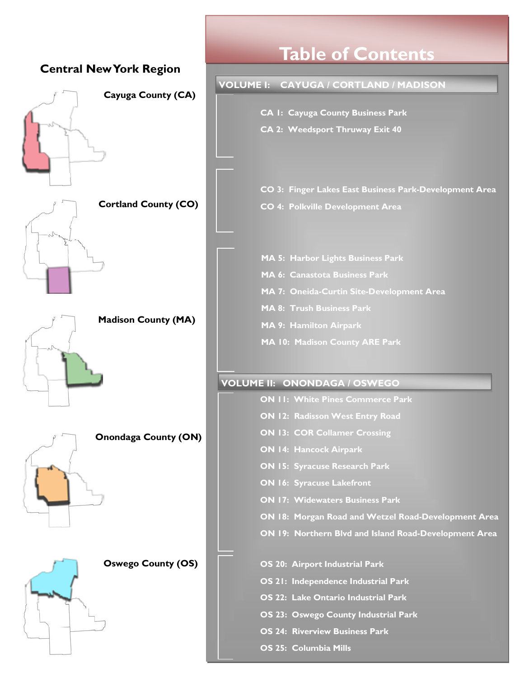

**OS 25: Columbia Mills** 

## **Table of Contents**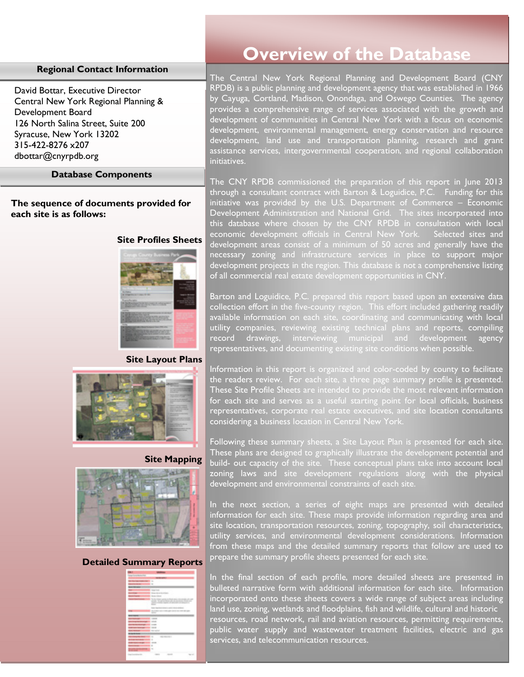#### **Regional Contact Information**

David Bottar, Executive Director Central New York Regional Planning & Development Board 126 North Salina Street, Suite 200 Syracuse, New York 13202 315-422-8276 x207 dbottar@cnyrpdb.org

#### **Database Components**

**The sequence of documents provided for each site is as follows:** 

#### **Site Profiles Sheets**



#### **Site Layout Plans**







#### **Detailed Summary Reports**

| $\sim$<br>L.<br>and a factor of<br><b>CONTRACTOR</b><br>To Au<br>The State Antique Park and Countries of All<br>the constitution of adversario and distances of<br>-<br>-<br>- |
|--------------------------------------------------------------------------------------------------------------------------------------------------------------------------------|
|                                                                                                                                                                                |
|                                                                                                                                                                                |
|                                                                                                                                                                                |
|                                                                                                                                                                                |
|                                                                                                                                                                                |
|                                                                                                                                                                                |
|                                                                                                                                                                                |
|                                                                                                                                                                                |
|                                                                                                                                                                                |
|                                                                                                                                                                                |
|                                                                                                                                                                                |
|                                                                                                                                                                                |
|                                                                                                                                                                                |
| <b>HOME</b>                                                                                                                                                                    |
|                                                                                                                                                                                |
| -<br>W                                                                                                                                                                         |
| <b>Construction</b>                                                                                                                                                            |
|                                                                                                                                                                                |
| <b>THE REAL PROPERTY</b><br>$\sim$                                                                                                                                             |
|                                                                                                                                                                                |
| comment.                                                                                                                                                                       |
|                                                                                                                                                                                |
| $\sim$                                                                                                                                                                         |
|                                                                                                                                                                                |
|                                                                                                                                                                                |

### **Overview of the Database**

The Central New York Regional Planning and Development Board (CNY RPDB) is a public planning and development agency that was established in 1966 by Cayuga, Cortland, Madison, Onondaga, and Oswego Counties. The agency provides a comprehensive range of services associated with the growth and development of communities in Central New York with a focus on economic development, environmental management, energy conservation and resource development, land use and transportation planning, research and grant assistance services, intergovernmental cooperation, and regional collaboration initiatives.

The CNY RPDB commissioned the preparation of this report in June 2013 through a consultant contract with Barton & Loguidice, P.C. Funding for this initiative was provided by the U.S. Department of Commerce – Economic Development Administration and National Grid. The sites incorporated into this database where chosen by the CNY RPDB in consultation with local economic development officials in Central New York. Selected sites and development areas consist of a minimum of 50 acres and generally have the necessary zoning and infrastructure services in place to support major development projects in the region. This database is not a comprehensive listing of all commercial real estate development opportunities in CNY.

Barton and Loguidice, P.C. prepared this report based upon an extensive data collection effort in the five-county region. This effort included gathering readily available information on each site, coordinating and communicating with local utility companies, reviewing existing technical plans and reports, compiling record drawings, interviewing municipal and development agency representatives, and documenting existing site conditions when possible.

Information in this report is organized and color-coded by county to facilitate the readers review. For each site, a three page summary profile is presented. These Site Profile Sheets are intended to provide the most relevant information for each site and serves as a useful starting point for local officials, business representatives, corporate real estate executives, and site location consultants considering a business location in Central New York.

Following these summary sheets, a Site Layout Plan is presented for each site. These plans are designed to graphically illustrate the development potential and build- out capacity of the site. These conceptual plans take into account local zoning laws and site development regulations along with the physical development and environmental constraints of each site.

In the next section, a series of eight maps are presented with detailed information for each site. These maps provide information regarding area and site location, transportation resources, zoning, topography, soil characteristics, utility services, and environmental development considerations. Information from these maps and the detailed summary reports that follow are used to prepare the summary profile sheets presented for each site.

In the final section of each profile, more detailed sheets are presented in bulleted narrative form with additional information for each site. Information incorporated onto these sheets covers a wide range of subject areas including land use, zoning, wetlands and floodplains, fish and wildlife, cultural and historic resources, road network, rail and aviation resources, permitting requirements, public water supply and wastewater treatment facilities, electric and gas services, and telecommunication resources.